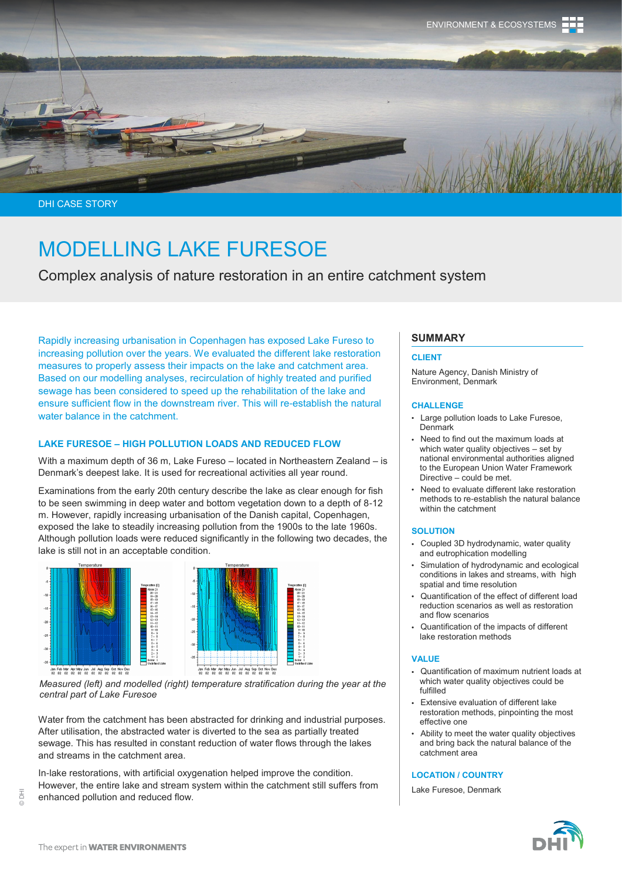

DHI CASE STORY

# MODELLING LAKE FURESOE

Complex analysis of nature restoration in an entire catchment system

Rapidly increasing urbanisation in Copenhagen has exposed Lake Fureso to increasing pollution over the years. We evaluated the different lake restoration measures to properly assess their impacts on the lake and catchment area. Based on our modelling analyses, recirculation of highly treated and purified sewage has been considered to speed up the rehabilitation of the lake and ensure sufficient flow in the downstream river. This will re-establish the natural water balance in the catchment.

# **LAKE FURESOE – HIGH POLLUTION LOADS AND REDUCED FLOW**

With a maximum depth of 36 m, Lake Fureso – located in Northeastern Zealand – is Denmark's deepest lake. It is used for recreational activities all year round.

Examinations from the early 20th century describe the lake as clear enough for fish to be seen swimming in deep water and bottom vegetation down to a depth of 8-12 m. However, rapidly increasing urbanisation of the Danish capital, Copenhagen, exposed the lake to steadily increasing pollution from the 1900s to the late 1960s. Although pollution loads were reduced significantly in the following two decades, the lake is still not in an acceptable condition.



*Measured (left) and modelled (right) temperature stratification during the year at the central part of Lake Furesoe* 

Water from the catchment has been abstracted for drinking and industrial purposes. After utilisation, the abstracted water is diverted to the sea as partially treated sewage. This has resulted in constant reduction of water flows through the lakes and streams in the catchment area.

In-lake restorations, with artificial oxygenation helped improve the condition. However, the entire lake and stream system within the catchment still suffers from enhanced pollution and reduced flow.

# **SUMMARY**

#### **CLIENT**

Nature Agency, Danish Ministry of Environment, Denmark

#### **CHALLENGE**

- Large pollution loads to Lake Furesoe, Denmark
- Need to find out the maximum loads at which water quality objectives – set by national environmental authorities aligned to the European Union Water Framework Directive – could be met.
- Need to evaluate different lake restoration methods to re-establish the natural balance within the catchment

#### **SOLUTION**

- Coupled 3D hydrodynamic, water quality and eutrophication modelling
- Simulation of hydrodynamic and ecological conditions in lakes and streams, with high spatial and time resolution
- Quantification of the effect of different load reduction scenarios as well as restoration and flow scenarios
- Quantification of the impacts of different lake restoration methods

#### **VALUE**

- Quantification of maximum nutrient loads at which water quality objectives could be fulfilled
- Extensive evaluation of different lake restoration methods, pinpointing the most effective one
- Ability to meet the water quality objectives and bring back the natural balance of the catchment area

#### **LOCATION / COUNTRY**

Lake Furesoe, Denmark